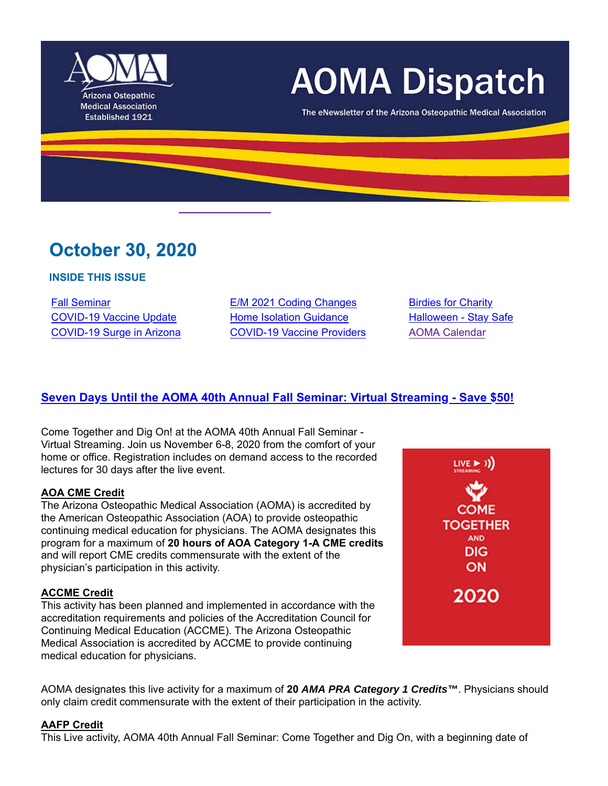

# **AOMA Dispatch**

The eNewsletter of the Arizona Osteopathic Medical Association

# **October 30, 2020**

#### **INSIDE THIS ISSUE**

Fall Seminar **E/M 2021 Coding Changes** Birdies for Charity COVID-19 Vaccine Update Home Isolation Guidance Halloween - Stay Safe COVID-19 Surge in Arizona COVID-19 Vaccine Providers AOMA Calendar

# **Seven Days Until the AOMA 40th Annual Fall Seminar: Virtual Streaming - Save \$50!**

Come Together and Dig On! at the AOMA 40th Annual Fall Seminar - Virtual Streaming. Join us November 6-8, 2020 from the comfort of your home or office. Registration includes on demand access to the recorded lectures for 30 days after the live event.

#### **AOA CME Credit**

The Arizona Osteopathic Medical Association (AOMA) is accredited by the American Osteopathic Association (AOA) to provide osteopathic continuing medical education for physicians. The AOMA designates this program for a maximum of **20 hours of AOA Category 1-A CME credits** and will report CME credits commensurate with the extent of the physician's participation in this activity.

#### **ACCME Credit**

This activity has been planned and implemented in accordance with the accreditation requirements and policies of the Accreditation Council for Continuing Medical Education (ACCME). The Arizona Osteopathic Medical Association is accredited by ACCME to provide continuing medical education for physicians.



AOMA designates this live activity for a maximum of **20** *AMA PRA Category 1 Credits™*. Physicians should only claim credit commensurate with the extent of their participation in the activity.

#### **AAFP Credit**

This Live activity, AOMA 40th Annual Fall Seminar: Come Together and Dig On, with a beginning date of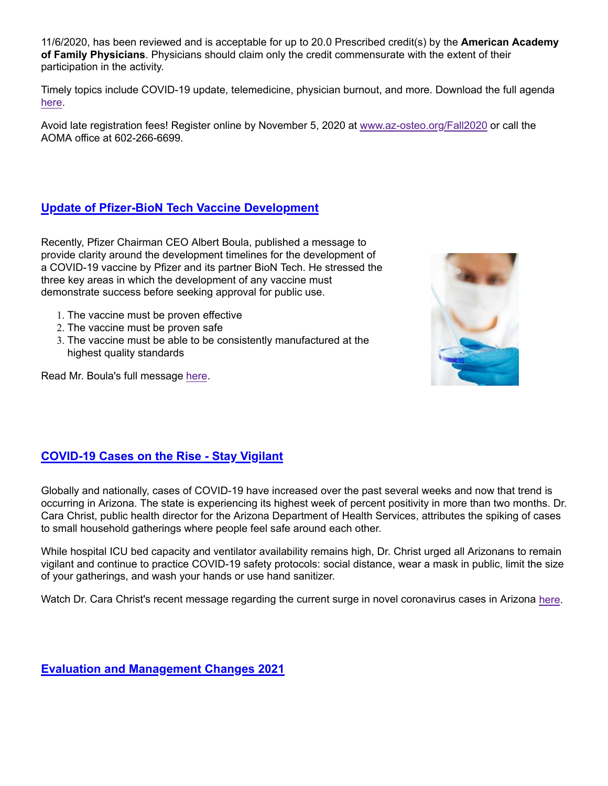11/6/2020, has been reviewed and is acceptable for up to 20.0 Prescribed credit(s) by the **American Academy of Family Physicians**. Physicians should claim only the credit commensurate with the extent of their participation in the activity.

Timely topics include COVID-19 update, telemedicine, physician burnout, and more. Download the full agenda here.

Avoid late registration fees! Register online by November 5, 2020 at www.az-osteo.org/Fall2020 or call the AOMA office at 602-266-6699.

# **Update of Pfizer-BioN Tech Vaccine Development**

Recently, Pfizer Chairman CEO Albert Boula, published a message to provide clarity around the development timelines for the development of a COVID-19 vaccine by Pfizer and its partner BioN Tech. He stressed the three key areas in which the development of any vaccine must demonstrate success before seeking approval for public use.

- 1. The vaccine must be proven effective
- 2. The vaccine must be proven safe
- 3. The vaccine must be able to be consistently manufactured at the highest quality standards



Read Mr. Boula's full message here.

# **COVID-19 Cases on the Rise - Stay Vigilant**

Globally and nationally, cases of COVID-19 have increased over the past several weeks and now that trend is occurring in Arizona. The state is experiencing its highest week of percent positivity in more than two months. Dr. Cara Christ, public health director for the Arizona Department of Health Services, attributes the spiking of cases to small household gatherings where people feel safe around each other.

While hospital ICU bed capacity and ventilator availability remains high, Dr. Christ urged all Arizonans to remain vigilant and continue to practice COVID-19 safety protocols: social distance, wear a mask in public, limit the size of your gatherings, and wash your hands or use hand sanitizer.

Watch Dr. Cara Christ's recent message regarding the current surge in novel coronavirus cases in Arizona here.

**Evaluation and Management Changes 2021**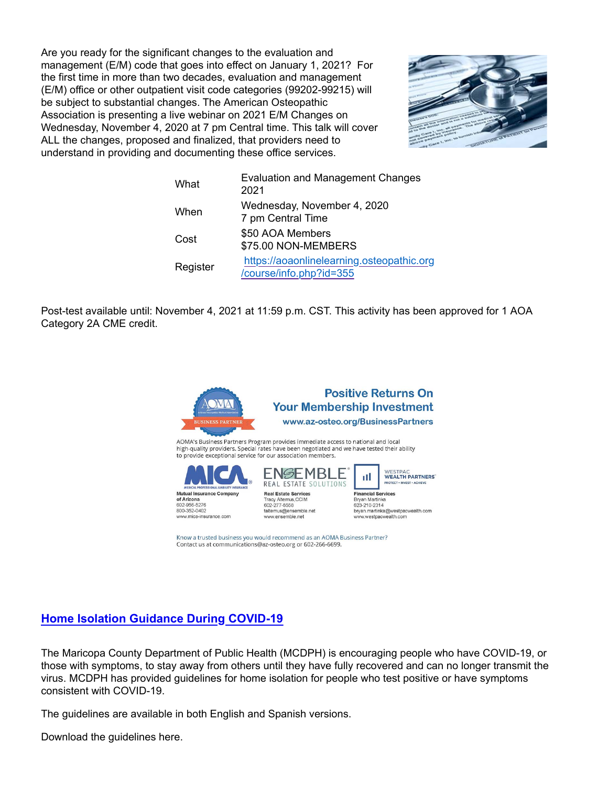Are you ready for the significant changes to the evaluation and management (E/M) code that goes into effect on January 1, 2021? For the first time in more than two decades, evaluation and management (E/M) office or other outpatient visit code categories (99202-99215) will be subject to substantial changes. The American Osteopathic Association is presenting a live webinar on 2021 E/M Changes on Wednesday, November 4, 2020 at 7 pm Central time. This talk will cover ALL the changes, proposed and finalized, that providers need to understand in providing and documenting these office services.



| What     | <b>Evaluation and Management Changes</b><br>2021                     |
|----------|----------------------------------------------------------------------|
| When     | Wednesday, November 4, 2020<br>7 pm Central Time                     |
| Cost     | \$50 AOA Members<br>\$75.00 NON-MEMBERS                              |
| Register | https://aoaonlinelearning.osteopathic.org<br>/course/info.php?id=355 |

Post-test available until: November 4, 2021 at 11:59 p.m. CST. This activity has been approved for 1 AOA Category 2A CME credit.



Know a trusted business you would recommend as an AOMA Business Partner? Contact us at communications@az-osteo.org or 602-266-6699.

# **Home Isolation Guidance During COVID-19**

The Maricopa County Department of Public Health (MCDPH) is encouraging people who have COVID-19, or those with symptoms, to stay away from others until they have fully recovered and can no longer transmit the virus. MCDPH has provided guidelines for home isolation for people who test positive or have symptoms consistent with COVID-19.

The guidelines are available in both English and Spanish versions.

Download the guidelines here.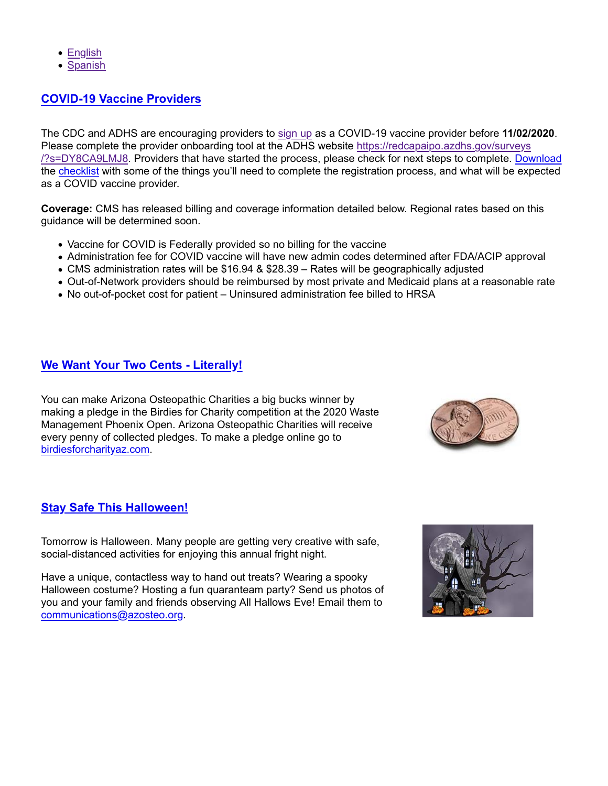- English
- Spanish

## **COVID-19 Vaccine Providers**

The CDC and ADHS are encouraging providers to sign up as a COVID-19 vaccine provider before **11/02/2020**. Please complete the provider onboarding tool at the ADHS website https://redcapaipo.azdhs.gov/surveys /?s=DY8CA9LMJ8. Providers that have started the process, please check for next steps to complete. Download the checklist with some of the things you'll need to complete the registration process, and what will be expected as a COVID vaccine provider.

**Coverage:** CMS has released billing and coverage information detailed below. Regional rates based on this guidance will be determined soon.

- Vaccine for COVID is Federally provided so no billing for the vaccine
- Administration fee for COVID vaccine will have new admin codes determined after FDA/ACIP approval
- CMS administration rates will be \$16.94 & \$28.39 Rates will be geographically adjusted
- Out-of-Network providers should be reimbursed by most private and Medicaid plans at a reasonable rate
- No out-of-pocket cost for patient Uninsured administration fee billed to HRSA

## **We Want Your Two Cents - Literally!**

You can make Arizona Osteopathic Charities a big bucks winner by making a pledge in the Birdies for Charity competition at the 2020 Waste Management Phoenix Open. Arizona Osteopathic Charities will receive every penny of collected pledges. To make a pledge online go to birdiesforcharityaz.com.



# **Stay Safe This Halloween!**

Tomorrow is Halloween. Many people are getting very creative with safe, social-distanced activities for enjoying this annual fright night.

Have a unique, contactless way to hand out treats? Wearing a spooky Halloween costume? Hosting a fun quaranteam party? Send us photos of you and your family and friends observing All Hallows Eve! Email them to communications@azosteo.org.

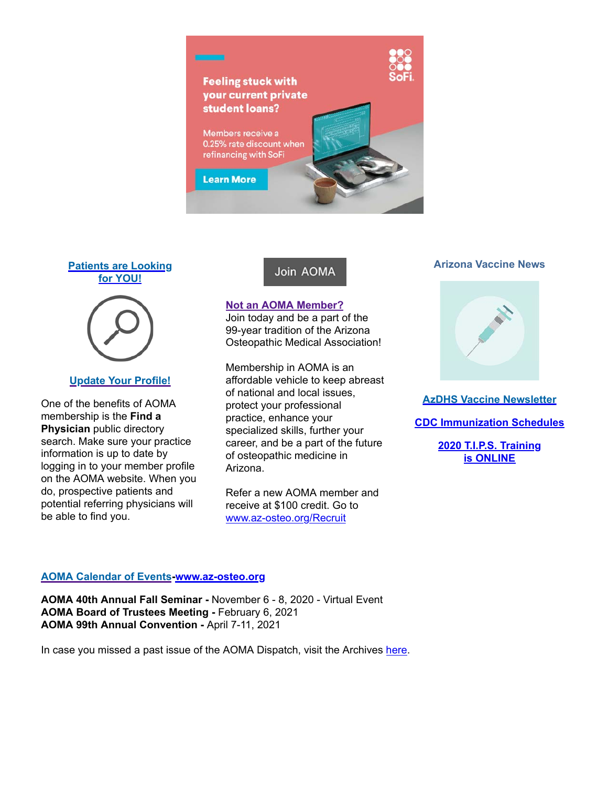

## **Patients are Looking for YOU!**



#### **Update Your Profile!**

One of the benefits of AOMA membership is the **Find a Physician** public directory search. Make sure your practice information is up to date by logging in to your member profile on the AOMA website. When you do, prospective patients and potential referring physicians will be able to find you.

# Join AOMA

#### **Not an AOMA Member?**

Join today and be a part of the 99-year tradition of the Arizona Osteopathic Medical Association!

Membership in AOMA is an affordable vehicle to keep abreast of national and local issues, protect your professional practice, enhance your specialized skills, further your career, and be a part of the future of osteopathic medicine in Arizona.

Refer a new AOMA member and receive at \$100 credit. Go to www.az-osteo.org/Recruit

#### **Arizona Vaccine News**



#### **AzDHS Vaccine Newsletter**

**CDC Immunization Schedules**

**2020 T.I.P.S. Training is ONLINE**

#### **AOMA Calendar of Events-www.az-osteo.org**

**AOMA 40th Annual Fall Seminar -** November 6 - 8, 2020 - Virtual Event **AOMA Board of Trustees Meeting -** February 6, 2021 **AOMA 99th Annual Convention -** April 7-11, 2021

In case you missed a past issue of the AOMA Dispatch, visit the Archives here.